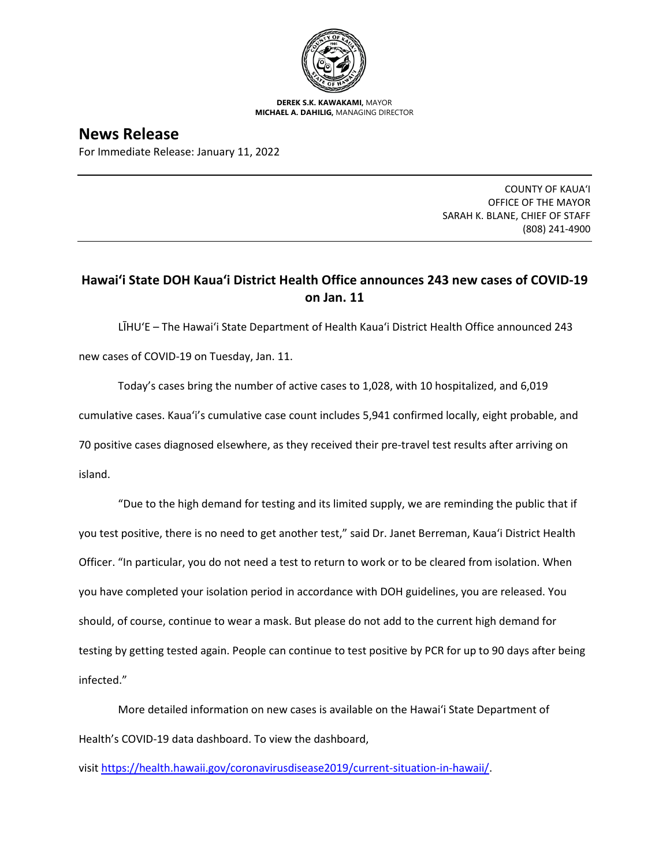

**DEREK S.K. KAWAKAMI,** MAYOR **MICHAEL A. DAHILIG,** MANAGING DIRECTOR

**News Release**

For Immediate Release: January 11, 2022

COUNTY OF KAUA'I OFFICE OF THE MAYOR SARAH K. BLANE, CHIEF OF STAFF (808) 241-4900

## **Hawai'i State DOH Kaua'i District Health Office announces 243 new cases of COVID-19 on Jan. 11**

LĪHU'E – The Hawai'i State Department of Health Kaua'i District Health Office announced 243 new cases of COVID-19 on Tuesday, Jan. 11.

Today's cases bring the number of active cases to 1,028, with 10 hospitalized, and 6,019 cumulative cases. Kaua'i's cumulative case count includes 5,941 confirmed locally, eight probable, and 70 positive cases diagnosed elsewhere, as they received their pre-travel test results after arriving on island.

"Due to the high demand for testing and its limited supply, we are reminding the public that if you test positive, there is no need to get another test," said Dr. Janet Berreman, Kaua'i District Health Officer. "In particular, you do not need a test to return to work or to be cleared from isolation. When you have completed your isolation period in accordance with DOH guidelines, you are released. You should, of course, continue to wear a mask. But please do not add to the current high demand for testing by getting tested again. People can continue to test positive by PCR for up to 90 days after being infected."

More detailed information on new cases is available on the Hawai'i State Department of Health's COVID-19 data dashboard. To view the dashboard,

visit [https://health.hawaii.gov/coronavirusdisease2019/current-situation-in-hawaii/.](https://health.hawaii.gov/coronavirusdisease2019/current-situation-in-hawaii/)